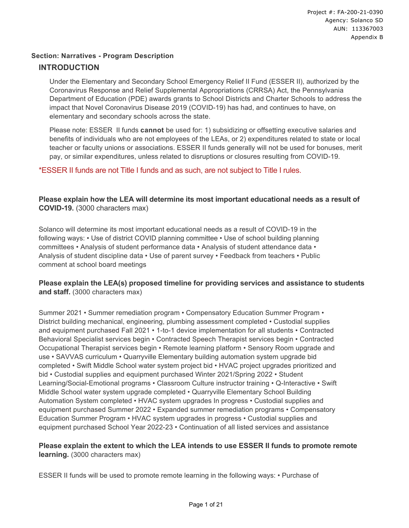## **Section: Narratives - Program Description**

## **INTRODUCTION**

Under the Elementary and Secondary School Emergency Relief II Fund (ESSER II), authorized by the Coronavirus Response and Relief Supplemental Appropriations (CRRSA) Act, the Pennsylvania Department of Education (PDE) awards grants to School Districts and Charter Schools to address the impact that Novel Coronavirus Disease 2019 (COVID-19) has had, and continues to have, on elementary and secondary schools across the state.

Please note: ESSER II funds **cannot** be used for: 1) subsidizing or offsetting executive salaries and benefits of individuals who are not employees of the LEAs, or 2) expenditures related to state or local teacher or faculty unions or associations. ESSER II funds generally will not be used for bonuses, merit pay, or similar expenditures, unless related to disruptions or closures resulting from COVID-19.

\*ESSER II funds are not Title I funds and as such, are not subject to Title I rules.

## **Please explain how the LEA will determine its most important educational needs as a result of COVID-19.** (3000 characters max)

Solanco will determine its most important educational needs as a result of COVID-19 in the following ways: • Use of district COVID planning committee • Use of school building planning committees • Analysis of student performance data • Analysis of student attendance data • Analysis of student discipline data • Use of parent survey • Feedback from teachers • Public comment at school board meetings

### **Please explain the LEA(s) proposed timeline for providing services and assistance to students and staff.** (3000 characters max)

Summer 2021 • Summer remediation program • Compensatory Education Summer Program • District building mechanical, engineering, plumbing assessment completed • Custodial supplies and equipment purchased Fall 2021 • 1-to-1 device implementation for all students • Contracted Behavioral Specialist services begin • Contracted Speech Therapist services begin • Contracted Occupational Therapist services begin • Remote learning platform • Sensory Room upgrade and use • SAVVAS curriculum • Quarryville Elementary building automation system upgrade bid completed • Swift Middle School water system project bid • HVAC project upgrades prioritized and bid • Custodial supplies and equipment purchased Winter 2021/Spring 2022 • Student Learning/Social-Emotional programs • Classroom Culture instructor training • Q-Interactive • Swift Middle School water system upgrade completed • Quarryville Elementary School Building Automation System completed • HVAC system upgrades In progress • Custodial supplies and equipment purchased Summer 2022 • Expanded summer remediation programs • Compensatory Education Summer Program • HVAC system upgrades in progress • Custodial supplies and equipment purchased School Year 2022-23 • Continuation of all listed services and assistance

### **Please explain the extent to which the LEA intends to use ESSER II funds to promote remote learning.** (3000 characters max)

ESSER II funds will be used to promote remote learning in the following ways: • Purchase of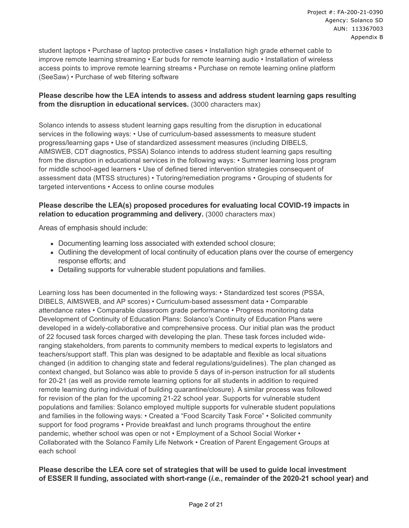student laptops • Purchase of laptop protective cases • Installation high grade ethernet cable to improve remote learning streaming • Ear buds for remote learning audio • Installation of wireless access points to improve remote learning streams • Purchase on remote learning online platform (SeeSaw) • Purchase of web filtering software

### **Please describe how the LEA intends to assess and address student learning gaps resulting from the disruption in educational services.** (3000 characters max)

Solanco intends to assess student learning gaps resulting from the disruption in educational services in the following ways: • Use of curriculum-based assessments to measure student progress/learning gaps • Use of standardized assessment measures (including DIBELS, AIMSWEB, CDT diagnostics, PSSA) Solanco intends to address student learning gaps resulting from the disruption in educational services in the following ways: • Summer learning loss program for middle school-aged learners • Use of defined tiered intervention strategies consequent of assessment data (MTSS structures) • Tutoring/remediation programs • Grouping of students for targeted interventions • Access to online course modules

## **Please describe the LEA(s) proposed procedures for evaluating local COVID-19 impacts in relation to education programming and delivery.** (3000 characters max)

Areas of emphasis should include:

- Documenting learning loss associated with extended school closure;
- Outlining the development of local continuity of education plans over the course of emergency response efforts; and
- Detailing supports for vulnerable student populations and families.

Learning loss has been documented in the following ways: • Standardized test scores (PSSA, DIBELS, AIMSWEB, and AP scores) • Curriculum-based assessment data • Comparable attendance rates • Comparable classroom grade performance • Progress monitoring data Development of Continuity of Education Plans: Solanco's Continuity of Education Plans were developed in a widely-collaborative and comprehensive process. Our initial plan was the product of 22 focused task forces charged with developing the plan. These task forces included wideranging stakeholders, from parents to community members to medical experts to legislators and teachers/support staff. This plan was designed to be adaptable and flexible as local situations changed (in addition to changing state and federal regulations/guidelines). The plan changed as context changed, but Solanco was able to provide 5 days of in-person instruction for all students for 20-21 (as well as provide remote learning options for all students in addition to required remote learning during individual of building quarantine/closure). A similar process was followed for revision of the plan for the upcoming 21-22 school year. Supports for vulnerable student populations and families: Solanco employed multiple supports for vulnerable student populations and families in the following ways: • Created a "Food Scarcity Task Force" • Solicited community support for food programs • Provide breakfast and lunch programs throughout the entire pandemic, whether school was open or not • Employment of a School Social Worker • Collaborated with the Solanco Family Life Network • Creation of Parent Engagement Groups at each school

## **Please describe the LEA core set of strategies that will be used to guide local investment of ESSER II funding, associated with short-range (***i.e.***, remainder of the 2020-21 school year) and**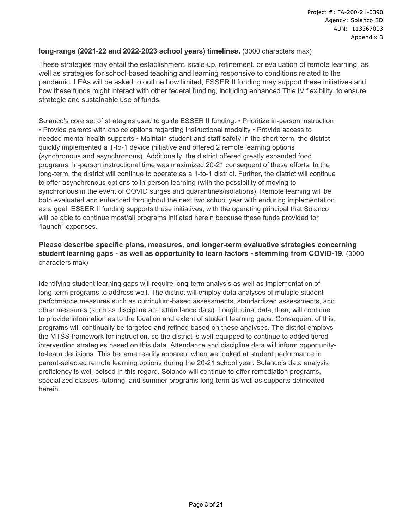### **long-range (2021-22 and 2022-2023 school years) timelines.** (3000 characters max)

These strategies may entail the establishment, scale-up, refinement, or evaluation of remote learning, as well as strategies for school-based teaching and learning responsive to conditions related to the pandemic. LEAs will be asked to outline how limited, ESSER II funding may support these initiatives and how these funds might interact with other federal funding, including enhanced Title IV flexibility, to ensure strategic and sustainable use of funds.

Solanco's core set of strategies used to guide ESSER II funding: • Prioritize in-person instruction • Provide parents with choice options regarding instructional modality • Provide access to needed mental health supports • Maintain student and staff safety In the short-term, the district quickly implemented a 1-to-1 device initiative and offered 2 remote learning options (synchronous and asynchronous). Additionally, the district offered greatly expanded food programs. In-person instructional time was maximized 20-21 consequent of these efforts. In the long-term, the district will continue to operate as a 1-to-1 district. Further, the district will continue to offer asynchronous options to in-person learning (with the possibility of moving to synchronous in the event of COVID surges and quarantines/isolations). Remote learning will be both evaluated and enhanced throughout the next two school year with enduring implementation as a goal. ESSER II funding supports these initiatives, with the operating principal that Solanco will be able to continue most/all programs initiated herein because these funds provided for "launch" expenses.

### **Please describe specific plans, measures, and longer-term evaluative strategies concerning student learning gaps - as well as opportunity to learn factors - stemming from COVID-19.** (3000 characters max)

Identifying student learning gaps will require long-term analysis as well as implementation of long-term programs to address well. The district will employ data analyses of multiple student performance measures such as curriculum-based assessments, standardized assessments, and other measures (such as discipline and attendance data). Longitudinal data, then, will continue to provide information as to the location and extent of student learning gaps. Consequent of this, programs will continually be targeted and refined based on these analyses. The district employs the MTSS framework for instruction, so the district is well-equipped to continue to added tiered intervention strategies based on this data. Attendance and discipline data will inform opportunityto-learn decisions. This became readily apparent when we looked at student performance in parent-selected remote learning options during the 20-21 school year. Solanco's data analysis proficiency is well-poised in this regard. Solanco will continue to offer remediation programs, specialized classes, tutoring, and summer programs long-term as well as supports delineated herein.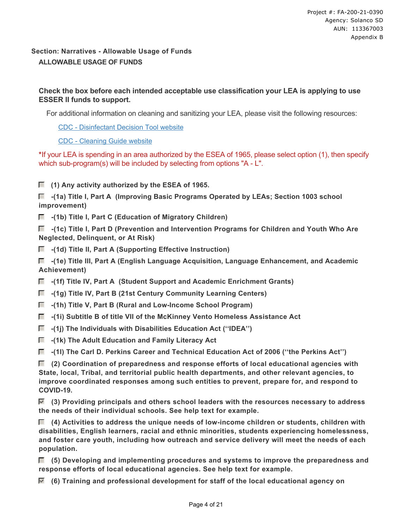## **Section: Narratives - Allowable Usage of Funds ALLOWABLE USAGE OF FUNDS**

## **Check the box before each intended acceptable use classification your LEA is applying to use ESSER II funds to support.**

For additional information on cleaning and sanitizing your LEA, please visit the following resources:

[CDC - Disinfectant Decision Tool website](https://www.cdc.gov/coronavirus/2019-ncov/community/pdf/ReOpening_America_Cleaning_Disinfection_Decision_Tool.pdf)

[CDC - Cleaning Guide website](https://www.cdc.gov/coronavirus/2019-ncov/community/disinfecting-building-facility.html)

**\***If your LEA is spending in an area authorized by the ESEA of 1965, please select option (1), then specify which sub-program(s) will be included by selecting from options "A - L".

 $\Box$  (1) Any activity authorized by the ESEA of 1965.

 $\blacksquare$  -(1a) Title I, Part A (Improving Basic Programs Operated by LEAs; Section 1003 school **improvement)** 

 **-(1b) Title I, Part C (Education of Migratory Children)**

 $\blacksquare$  -(1c) Title I, Part D (Prevention and Intervention Programs for Children and Youth Who Are **Neglected, Delinquent, or At Risk)**

 $\Box$  -(1d) Title II, Part A (Supporting Effective Instruction)

 **-(1e) Title III, Part A (English Language Acquisition, Language Enhancement, and Academic Achievement)**

- **-(1f) Title IV, Part A (Student Support and Academic Enrichment Grants)**
- **-(1g) Title IV, Part B (21st Century Community Learning Centers)**
- **-(1h) Title V, Part B (Rural and Low-Income School Program)**
- **-(1i) Subtitle B of title VII of the McKinney Vento Homeless Assistance Act**
- **-(1j) The Individuals with Disabilities Education Act (''IDEA'')**
- $\blacksquare$  -(1k) The Adult Education and Family Literacy Act
- $\blacksquare$  -(1) The Carl D. Perkins Career and Technical Education Act of 2006 ("the Perkins Act")

 **(2) Coordination of preparedness and response efforts of local educational agencies with State, local, Tribal, and territorial public health departments, and other relevant agencies, to improve coordinated responses among such entities to prevent, prepare for, and respond to COVID-19.**

 **(3) Providing principals and others school leaders with the resources necessary to address the needs of their individual schools. See help text for example.**

 **(4) Activities to address the unique needs of low-income children or students, children with disabilities, English learners, racial and ethnic minorities, students experiencing homelessness, and foster care youth, including how outreach and service delivery will meet the needs of each population.**

 **(5) Developing and implementing procedures and systems to improve the preparedness and response efforts of local educational agencies. See help text for example.**

 **(6) Training and professional development for staff of the local educational agency on**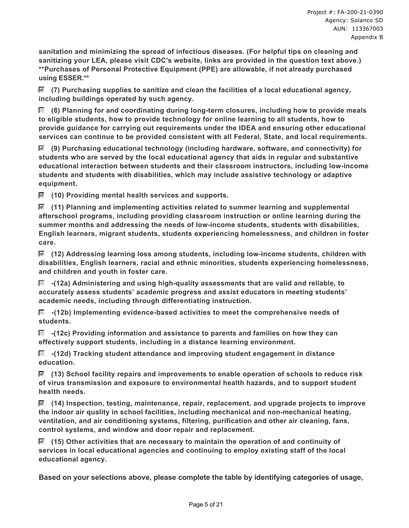**sanitation and minimizing the spread of infectious diseases. (For helpful tips on cleaning and sanitizing your LEA, please visit CDC's website, links are provided in the question text above.) \*\*Purchases of Personal Protective Equipment (PPE) are allowable, if not already purchased using ESSER.\*\***

 **(7) Purchasing supplies to sanitize and clean the facilities of a local educational agency, including buildings operated by such agency.**

 **(8) Planning for and coordinating during long-term closures, including how to provide meals to eligible students, how to provide technology for online learning to all students, how to provide guidance for carrying out requirements under the IDEA and ensuring other educational services can continue to be provided consistent with all Federal, State, and local requirements.**

 **(9) Purchasing educational technology (including hardware, software, and connectivity) for students who are served by the local educational agency that aids in regular and substantive educational interaction between students and their classroom instructors, including low-income students and students with disabilities, which may include assistive technology or adaptive equipment.**

 **(10) Providing mental health services and supports.**

 **(11) Planning and implementing activities related to summer learning and supplemental afterschool programs, including providing classroom instruction or online learning during the summer months and addressing the needs of low-income students, students with disabilities, English learners, migrant students, students experiencing homelessness, and children in foster care.**

 **(12) Addressing learning loss among students, including low-income students, children with disabilities, English learners, racial and ethnic minorities, students experiencing homelessness, and children and youth in foster care.**

 **-(12a) Administering and using high-quality assessments that are valid and reliable, to accurately assess students' academic progress and assist educators in meeting students' academic needs, including through differentiating instruction.**

 **-(12b) Implementing evidence-based activities to meet the comprehensive needs of students.**

 $\blacksquare$  -(12c) Providing information and assistance to parents and families on how they can **effectively support students, including in a distance learning environment.**

 **-(12d) Tracking student attendance and improving student engagement in distance education.**

 **(13) School facility repairs and improvements to enable operation of schools to reduce risk of virus transmission and exposure to environmental health hazards, and to support student health needs.**

 **(14) Inspection, testing, maintenance, repair, replacement, and upgrade projects to improve the indoor air quality in school facilities, including mechanical and non-mechanical heating, ventilation, and air conditioning systems, filtering, purification and other air cleaning, fans, control systems, and window and door repair and replacement.**

 **(15) Other activities that are necessary to maintain the operation of and continuity of services in local educational agencies and continuing to employ existing staff of the local educational agency.**

**Based on your selections above, please complete the table by identifying categories of usage,**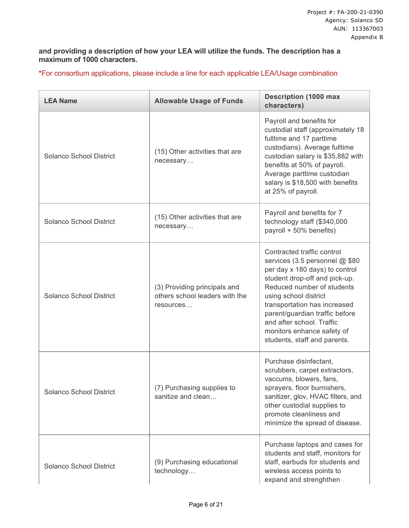## **and providing a description of how your LEA will utilize the funds. The description has a maximum of 1000 characters.**

**\***For consortium applications, please include a line for each applicable LEA/Usage combination

| <b>LEA Name</b>                | <b>Allowable Usage of Funds</b>                                             | <b>Description (1000 max</b><br>characters)                                                                                                                                                                                                                                                                                                         |
|--------------------------------|-----------------------------------------------------------------------------|-----------------------------------------------------------------------------------------------------------------------------------------------------------------------------------------------------------------------------------------------------------------------------------------------------------------------------------------------------|
| Solanco School District        | (15) Other activities that are<br>necessary                                 | Payroll and benefits for<br>custodial staff (approximately 18<br>fulltime and 17 parttime<br>custodians). Average fulltime<br>custodian salary is \$35,882 with<br>benefits at 50% of payroll.<br>Average parttime custodian<br>salary is \$18,500 with benefits<br>at 25% of payroll.                                                              |
| Solanco School District        | (15) Other activities that are<br>necessary                                 | Payroll and benefits for 7<br>technology staff (\$340,000<br>payroll + 50% benefits)                                                                                                                                                                                                                                                                |
| <b>Solanco School District</b> | (3) Providing principals and<br>others school leaders with the<br>resources | Contracted traffic control<br>services (3.5 personnel @ \$80<br>per day x 180 days) to control<br>student drop-off and pick-up.<br>Reduced number of students<br>using school district<br>transportation has increased<br>parent/guardian traffic before<br>and after school. Traffic<br>monitors enhance safety of<br>students, staff and parents. |
| Solanco School District        | (7) Purchasing supplies to<br>sanitize and clean                            | Purchase disinfectant,<br>scrubbers, carpet extractors,<br>vaccums, blowers, fans,<br>sprayers, floor burnishers,<br>sanitizer, glov, HVAC filters, and<br>other custodial supplies to<br>promote cleanliness and<br>minimize the spread of disease.                                                                                                |
| <b>Solanco School District</b> | (9) Purchasing educational<br>technology                                    | Purchase laptops and cases for<br>students and staff, monitors for<br>staff, earbuds for students and<br>wireless access points to<br>expand and strenghthen                                                                                                                                                                                        |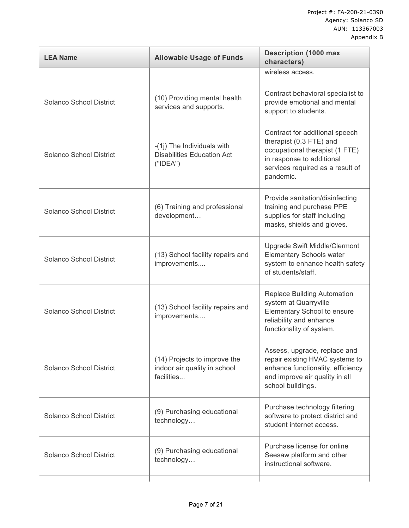| <b>LEA Name</b>                | <b>Allowable Usage of Funds</b>                                                | <b>Description (1000 max</b><br>characters)                                                                                                                               |
|--------------------------------|--------------------------------------------------------------------------------|---------------------------------------------------------------------------------------------------------------------------------------------------------------------------|
|                                |                                                                                | wireless access.                                                                                                                                                          |
| Solanco School District        | (10) Providing mental health<br>services and supports.                         | Contract behavioral specialist to<br>provide emotional and mental<br>support to students.                                                                                 |
| Solanco School District        | $-(1)$ ) The Individuals with<br><b>Disabilities Education Act</b><br>("IDEA") | Contract for additional speech<br>therapist (0.3 FTE) and<br>occupational therapist (1 FTE)<br>in response to additional<br>services required as a result of<br>pandemic. |
| Solanco School District        | (6) Training and professional<br>development                                   | Provide sanitation/disinfecting<br>training and purchase PPE<br>supplies for staff including<br>masks, shields and gloves.                                                |
| Solanco School District        | (13) School facility repairs and<br>improvements                               | Upgrade Swift Middle/Clermont<br><b>Elementary Schools water</b><br>system to enhance health safety<br>of students/staff.                                                 |
| Solanco School District        | (13) School facility repairs and<br>improvements                               | <b>Replace Building Automation</b><br>system at Quarryville<br>Elementary School to ensure<br>reliability and enhance<br>functionality of system.                         |
| <b>Solanco School District</b> | (14) Projects to improve the<br>indoor air quality in school<br>facilities     | Assess, upgrade, replace and<br>repair existing HVAC systems to<br>enhance functionality, efficiency<br>and improve air quality in all<br>school buildings.               |
| Solanco School District        | (9) Purchasing educational<br>technology                                       | Purchase technology filtering<br>software to protect district and<br>student internet access.                                                                             |
| Solanco School District        | (9) Purchasing educational<br>technology                                       | Purchase license for online<br>Seesaw platform and other<br>instructional software.                                                                                       |
|                                |                                                                                |                                                                                                                                                                           |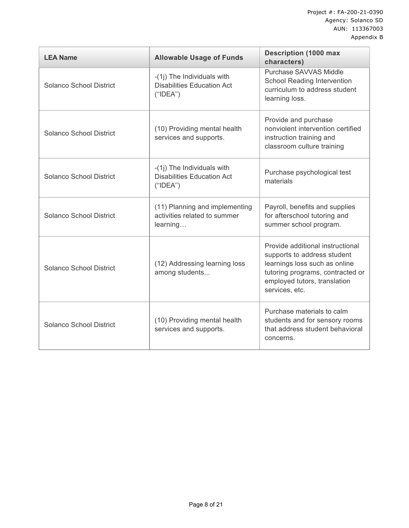| <b>LEA Name</b>                | <b>Allowable Usage of Funds</b>                                             | <b>Description (1000 max</b><br>characters)                                                                                                                                            |
|--------------------------------|-----------------------------------------------------------------------------|----------------------------------------------------------------------------------------------------------------------------------------------------------------------------------------|
| Solanco School District        | -(1j) The Individuals with<br><b>Disabilities Education Act</b><br>("IDEA") | Purchase SAVVAS Middle<br><b>School Reading Intervention</b><br>curriculum to address student<br>learning loss.                                                                        |
| Solanco School District        | (10) Providing mental health<br>services and supports.                      | Provide and purchase<br>nonviolent intervention certified<br>instruction training and<br>classroom culture training                                                                    |
| <b>Solanco School District</b> | -(1j) The Individuals with<br><b>Disabilities Education Act</b><br>("IDEA") | Purchase psychological test<br>materials                                                                                                                                               |
| Solanco School District        | (11) Planning and implementing<br>activities related to summer<br>learning  | Payroll, benefits and supplies<br>for afterschool tutoring and<br>summer school program.                                                                                               |
| Solanco School District        | (12) Addressing learning loss<br>among students                             | Provide additional instructional<br>supports to address student<br>learnings loss such as online<br>tutoring programs, contracted or<br>employed tutors, translation<br>services, etc. |
| Solanco School District        | (10) Providing mental health<br>services and supports.                      | Purchase materials to calm<br>students and for sensory rooms<br>that address student behavioral<br>concerns.                                                                           |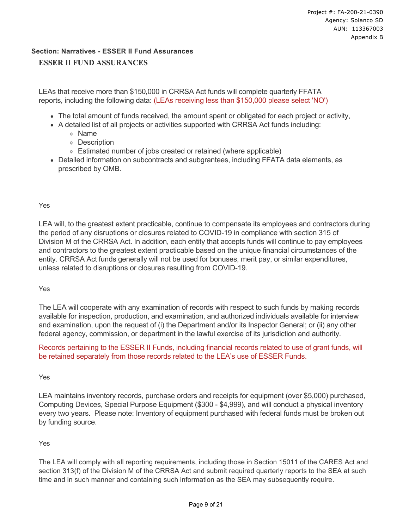## **Section: Narratives - ESSER II Fund Assurances ESSER II FUND ASSURANCES**

LEAs that receive more than \$150,000 in CRRSA Act funds will complete quarterly FFATA reports, including the following data: (LEAs receiving less than \$150,000 please select 'NO')

- The total amount of funds received, the amount spent or obligated for each project or activity,
- A detailed list of all projects or activities supported with CRRSA Act funds including:
	- Name
	- Description
	- Estimated number of jobs created or retained (where applicable)
- Detailed information on subcontracts and subgrantees, including FFATA data elements, as prescribed by OMB.

#### Yes

LEA will, to the greatest extent practicable, continue to compensate its employees and contractors during the period of any disruptions or closures related to COVID-19 in compliance with section 315 of Division M of the CRRSA Act. In addition, each entity that accepts funds will continue to pay employees and contractors to the greatest extent practicable based on the unique financial circumstances of the entity. CRRSA Act funds generally will not be used for bonuses, merit pay, or similar expenditures, unless related to disruptions or closures resulting from COVID-19.

#### Yes

The LEA will cooperate with any examination of records with respect to such funds by making records available for inspection, production, and examination, and authorized individuals available for interview and examination, upon the request of (i) the Department and/or its Inspector General; or (ii) any other federal agency, commission, or department in the lawful exercise of its jurisdiction and authority.

Records pertaining to the ESSER II Funds, including financial records related to use of grant funds, will be retained separately from those records related to the LEA's use of ESSER Funds.

#### Yes

LEA maintains inventory records, purchase orders and receipts for equipment (over \$5,000) purchased, Computing Devices, Special Purpose Equipment (\$300 - \$4,999), and will conduct a physical inventory every two years. Please note: Inventory of equipment purchased with federal funds must be broken out by funding source.

### Yes

The LEA will comply with all reporting requirements, including those in Section 15011 of the CARES Act and section 313(f) of the Division M of the CRRSA Act and submit required quarterly reports to the SEA at such time and in such manner and containing such information as the SEA may subsequently require.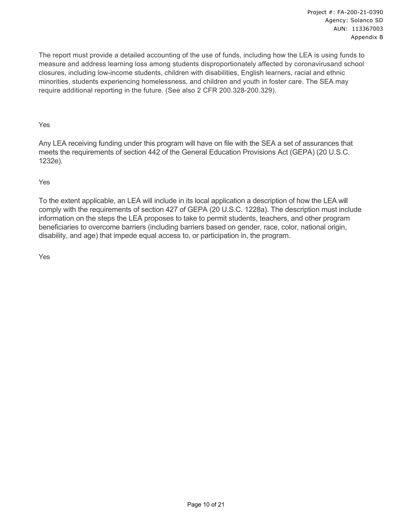The report must provide a detailed accounting of the use of funds, including how the LEA is using funds to measure and address learning loss among students disproportionately affected by coronavirusand school closures, including low-income students, children with disabilities, English learners, racial and ethnic minorities, students experiencing homelessness, and children and youth in foster care. The SEA may require additional reporting in the future. (See also 2 CFR 200.328-200.329).

#### Yes

Any LEA receiving funding under this program will have on file with the SEA a set of assurances that meets the requirements of section 442 of the General Education Provisions Act (GEPA) (20 U.S.C. 1232e).

#### Yes

To the extent applicable, an LEA will include in its local application a description of how the LEA will comply with the requirements of section 427 of GEPA (20 U.S.C. 1228a). The description must include information on the steps the LEA proposes to take to permit students, teachers, and other program beneficiaries to overcome barriers (including barriers based on gender, race, color, national origin, disability, and age) that impede equal access to, or participation in, the program.

Yes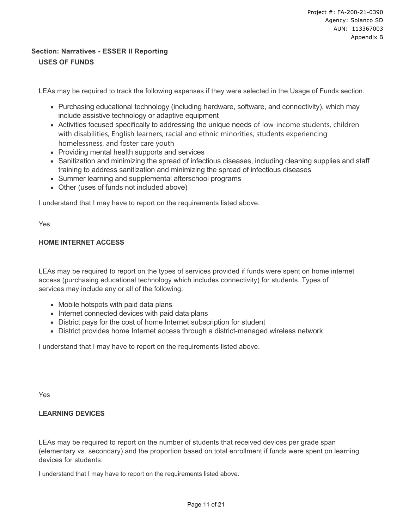## **Section: Narratives - ESSER II Reporting USES OF FUNDS**

LEAs may be required to track the following expenses if they were selected in the Usage of Funds section.

- Purchasing educational technology (including hardware, software, and connectivity), which may include assistive technology or adaptive equipment
- Activities focused specifically to addressing the unique needs of low‐income students, children with disabilities, English learners, racial and ethnic minorities, students experiencing homelessness, and foster care youth
- Providing mental health supports and services
- Sanitization and minimizing the spread of infectious diseases, including cleaning supplies and staff training to address sanitization and minimizing the spread of infectious diseases
- Summer learning and supplemental afterschool programs
- Other (uses of funds not included above)

I understand that I may have to report on the requirements listed above.

Yes

### **HOME INTERNET ACCESS**

LEAs may be required to report on the types of services provided if funds were spent on home internet access (purchasing educational technology which includes connectivity) for students. Types of services may include any or all of the following:

- Mobile hotspots with paid data plans
- Internet connected devices with paid data plans
- District pays for the cost of home Internet subscription for student
- District provides home Internet access through a district-managed wireless network

I understand that I may have to report on the requirements listed above.

Yes

#### **LEARNING DEVICES**

LEAs may be required to report on the number of students that received devices per grade span (elementary vs. secondary) and the proportion based on total enrollment if funds were spent on learning devices for students.

I understand that I may have to report on the requirements listed above.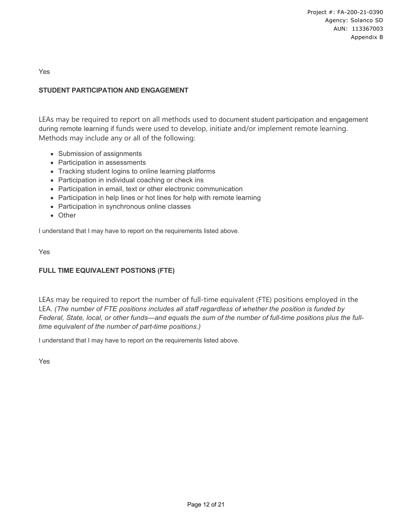Project #: FA-200-21-0390 Agency: Solanco SD AUN: 113367003 Appendix B

Yes

#### **STUDENT PARTICIPATION AND ENGAGEMENT**

LEAs may be required to report on all methods used to document student participation and engagement during remote learning if funds were used to develop, initiate and/or implement remote learning. Methods may include any or all of the following:

- Submission of assignments
- Participation in assessments
- Tracking student logins to online learning platforms
- Participation in individual coaching or check ins
- Participation in email, text or other electronic communication
- Participation in help lines or hot lines for help with remote learning
- Participation in synchronous online classes
- Other

I understand that I may have to report on the requirements listed above.

Yes

#### **FULL TIME EQUIVALENT POSTIONS (FTE)**

LEAs may be required to report the number of full-time equivalent (FTE) positions employed in the LEA. *(The number of FTE positions includes all staff regardless of whether the position is funded by Federal, State, local, or other funds—and equals the sum of the number of full-time positions plus the fulltime equivalent of the number of part-time positions.)*

I understand that I may have to report on the requirements listed above.

Yes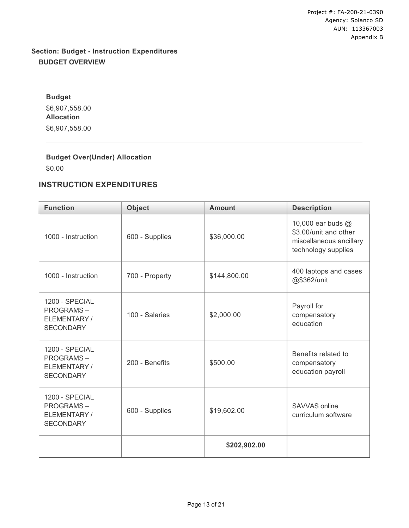## **Section: Budget - Instruction Expenditures BUDGET OVERVIEW**

## **Budget**

\$6,907,558.00 **Allocation** \$6,907,558.00

# **Budget Over(Under) Allocation** \$0.00

# **INSTRUCTION EXPENDITURES**

| <b>Function</b>                                                       | <b>Object</b>                  | <b>Amount</b> | <b>Description</b>                                                                           |  |
|-----------------------------------------------------------------------|--------------------------------|---------------|----------------------------------------------------------------------------------------------|--|
| 1000 - Instruction                                                    | \$36,000.00<br>600 - Supplies  |               | 10,000 ear buds @<br>\$3.00/unit and other<br>miscellaneous ancillary<br>technology supplies |  |
| 1000 - Instruction                                                    | \$144,800.00<br>700 - Property |               |                                                                                              |  |
| 1200 - SPECIAL<br><b>PROGRAMS-</b><br>ELEMENTARY/<br><b>SECONDARY</b> | 100 - Salaries                 | \$2,000.00    | Payroll for<br>compensatory<br>education                                                     |  |
| 1200 - SPECIAL<br><b>PROGRAMS-</b><br>ELEMENTARY/<br><b>SECONDARY</b> | 200 - Benefits                 | \$500.00      | Benefits related to<br>compensatory<br>education payroll                                     |  |
| 1200 - SPECIAL<br><b>PROGRAMS-</b><br>ELEMENTARY/<br><b>SECONDARY</b> | 600 - Supplies                 | \$19,602.00   | <b>SAVVAS online</b><br>curriculum software                                                  |  |
|                                                                       |                                | \$202,902.00  |                                                                                              |  |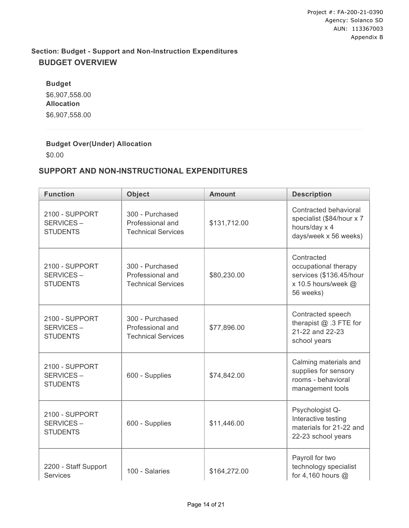## **Section: Budget - Support and Non-Instruction Expenditures BUDGET OVERVIEW**

**Budget** \$6,907,558.00 **Allocation** \$6,907,558.00

# **Budget Over(Under) Allocation**

\$0.00

## **SUPPORT AND NON-INSTRUCTIONAL EXPENDITURES**

| <b>Function</b>                                | <b>Object</b>                                                    | <b>Amount</b> | <b>Description</b>                                                                                |
|------------------------------------------------|------------------------------------------------------------------|---------------|---------------------------------------------------------------------------------------------------|
| 2100 - SUPPORT<br>SERVICES-<br><b>STUDENTS</b> | 300 - Purchased<br>Professional and<br><b>Technical Services</b> | \$131,712.00  | Contracted behavioral<br>specialist (\$84/hour x 7<br>hours/day x 4<br>days/week x 56 weeks)      |
| 2100 - SUPPORT<br>SERVICES-<br><b>STUDENTS</b> | 300 - Purchased<br>Professional and<br><b>Technical Services</b> | \$80,230.00   | Contracted<br>occupational therapy<br>services (\$136.45/hour<br>x 10.5 hours/week @<br>56 weeks) |
| 2100 - SUPPORT<br>SERVICES-<br><b>STUDENTS</b> | 300 - Purchased<br>Professional and<br><b>Technical Services</b> | \$77,896.00   | Contracted speech<br>therapist @ .3 FTE for<br>21-22 and 22-23<br>school years                    |
| 2100 - SUPPORT<br>SERVICES-<br><b>STUDENTS</b> | 600 - Supplies                                                   | \$74,842.00   | Calming materials and<br>supplies for sensory<br>rooms - behavioral<br>management tools           |
| 2100 - SUPPORT<br>SERVICES-<br><b>STUDENTS</b> | 600 - Supplies                                                   |               | Psychologist Q-<br>Interactive testing<br>materials for 21-22 and<br>22-23 school years           |
| 2200 - Staff Support<br><b>Services</b>        | 100 - Salaries                                                   | \$164,272.00  | Payroll for two<br>technology specialist<br>for 4,160 hours @                                     |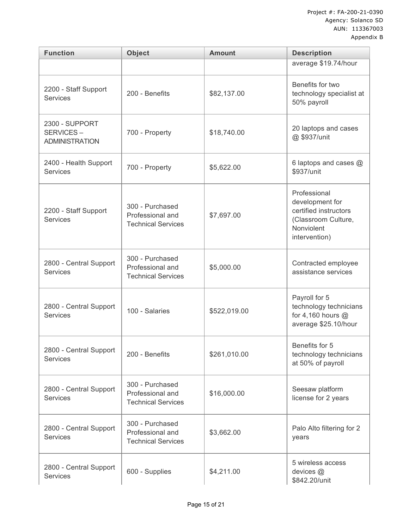| <b>Function</b>                                      | <b>Object</b>                                                    | <b>Amount</b>                                    | <b>Description</b>                                                                                             |
|------------------------------------------------------|------------------------------------------------------------------|--------------------------------------------------|----------------------------------------------------------------------------------------------------------------|
|                                                      |                                                                  |                                                  | average \$19.74/hour                                                                                           |
| 2200 - Staff Support<br><b>Services</b>              | 200 - Benefits                                                   | \$82,137.00                                      | Benefits for two<br>technology specialist at<br>50% payroll                                                    |
| 2300 - SUPPORT<br>SERVICES-<br><b>ADMINISTRATION</b> | 700 - Property                                                   | \$18,740.00                                      | 20 laptops and cases<br>@ \$937/unit                                                                           |
| 2400 - Health Support<br>Services                    | 700 - Property                                                   | \$5,622.00                                       | 6 laptops and cases @<br>\$937/unit                                                                            |
| 2200 - Staff Support<br><b>Services</b>              | 300 - Purchased<br>Professional and<br><b>Technical Services</b> | \$7,697.00                                       | Professional<br>development for<br>certified instructors<br>(Classroom Culture,<br>Nonviolent<br>intervention) |
| 2800 - Central Support<br><b>Services</b>            | 300 - Purchased<br>Professional and<br><b>Technical Services</b> | \$5,000.00                                       | Contracted employee<br>assistance services                                                                     |
| 2800 - Central Support<br><b>Services</b>            | 100 - Salaries                                                   | \$522,019.00                                     | Payroll for 5<br>technology technicians<br>for 4,160 hours @<br>average \$25.10/hour                           |
| 2800 - Central Support<br>Services                   | 200 - Benefits                                                   | \$261,010.00                                     | Benefits for 5<br>technology technicians<br>at 50% of payroll                                                  |
| 2800 - Central Support<br><b>Services</b>            | 300 - Purchased<br>Professional and<br><b>Technical Services</b> | \$16,000.00                                      | Seesaw platform<br>license for 2 years                                                                         |
| 2800 - Central Support<br>Services                   | 300 - Purchased<br>Professional and<br><b>Technical Services</b> | Palo Alto filtering for 2<br>\$3,662.00<br>years |                                                                                                                |
| 2800 - Central Support<br><b>Services</b>            | 600 - Supplies                                                   | \$4,211.00                                       | 5 wireless access<br>devices @<br>\$842.20/unit                                                                |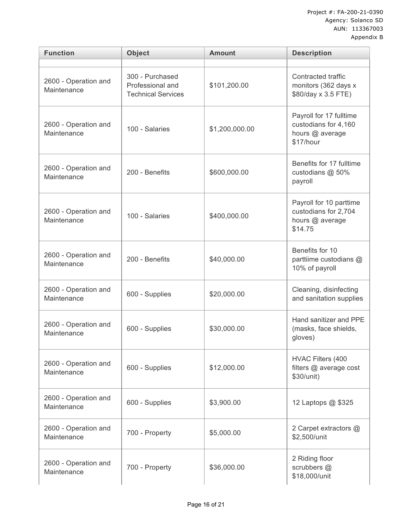| <b>Function</b>                     | <b>Object</b>                                                    | <b>Amount</b>  | <b>Description</b>                                                              |  |  |
|-------------------------------------|------------------------------------------------------------------|----------------|---------------------------------------------------------------------------------|--|--|
| 2600 - Operation and<br>Maintenance | 300 - Purchased<br>Professional and<br><b>Technical Services</b> | \$101,200.00   | Contracted traffic<br>monitors (362 days x<br>\$80/day x 3.5 FTE)               |  |  |
| 2600 - Operation and<br>Maintenance | 100 - Salaries                                                   | \$1,200,000.00 | Payroll for 17 fulltime<br>custodians for 4,160<br>hours @ average<br>\$17/hour |  |  |
| 2600 - Operation and<br>Maintenance | 200 - Benefits                                                   | \$600,000.00   | Benefits for 17 fulltime<br>custodians @ 50%<br>payroll                         |  |  |
| 2600 - Operation and<br>Maintenance | 100 - Salaries                                                   | \$400,000.00   | Payroll for 10 parttime<br>custodians for 2,704<br>hours @ average<br>\$14.75   |  |  |
| 2600 - Operation and<br>Maintenance | 200 - Benefits                                                   | \$40,000.00    | Benefits for 10<br>parttiime custodians @<br>10% of payroll                     |  |  |
| 2600 - Operation and<br>Maintenance | 600 - Supplies                                                   | \$20,000.00    | Cleaning, disinfecting<br>and sanitation supplies                               |  |  |
| 2600 - Operation and<br>Maintenance | 600 - Supplies                                                   | \$30,000.00    | Hand sanitizer and PPE<br>(masks, face shields,<br>gloves)                      |  |  |
| 2600 - Operation and<br>Maintenance | 600 - Supplies                                                   | \$12,000.00    | <b>HVAC Filters (400</b><br>filters @ average cost<br>\$30/unit)                |  |  |
| 2600 - Operation and<br>Maintenance | 600 - Supplies                                                   | \$3,900.00     | 12 Laptops @ \$325                                                              |  |  |
| 2600 - Operation and<br>Maintenance | 700 - Property                                                   | \$5,000.00     | 2 Carpet extractors @<br>\$2,500/unit                                           |  |  |
| 2600 - Operation and<br>Maintenance | 700 - Property                                                   | \$36,000.00    | 2 Riding floor<br>scrubbers @<br>\$18,000/unit                                  |  |  |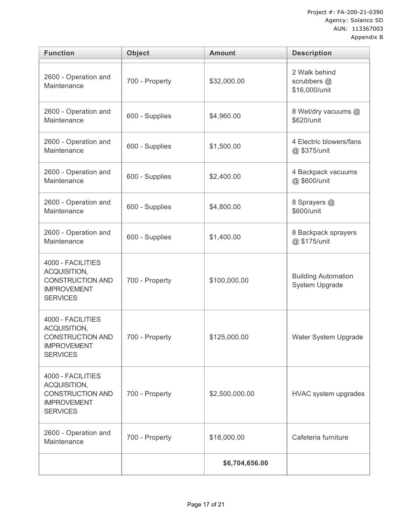| <b>Function</b>                                                                                       | <b>Object</b>  | <b>Amount</b>                                     | <b>Description</b>                            |  |  |
|-------------------------------------------------------------------------------------------------------|----------------|---------------------------------------------------|-----------------------------------------------|--|--|
| 2600 - Operation and<br>Maintenance                                                                   | 700 - Property | \$32,000.00                                       | 2 Walk behind<br>scrubbers @<br>\$16,000/unit |  |  |
| 2600 - Operation and<br>Maintenance                                                                   | 600 - Supplies | \$4,960.00                                        | 8 Wet/dry vacuums @<br>\$620/unit             |  |  |
| 2600 - Operation and<br>Maintenance                                                                   | 600 - Supplies | \$1,500.00                                        | 4 Electric blowers/fans<br>@ \$375/unit       |  |  |
| 2600 - Operation and<br>Maintenance                                                                   | 600 - Supplies | \$2,400.00                                        | 4 Backpack vacuums<br>@ \$600/unit            |  |  |
| 2600 - Operation and<br>Maintenance                                                                   | 600 - Supplies | \$4,800.00                                        | 8 Sprayers @<br>\$600/unit                    |  |  |
| 2600 - Operation and<br>Maintenance                                                                   | 600 - Supplies | 8 Backpack sprayers<br>\$1,400.00<br>@ \$175/unit |                                               |  |  |
| 4000 - FACILITIES<br>ACQUISITION,<br><b>CONSTRUCTION AND</b><br><b>IMPROVEMENT</b><br><b>SERVICES</b> | 700 - Property | \$100,000.00                                      | <b>Building Automation</b><br>System Upgrade  |  |  |
| 4000 - FACILITIES<br>ACQUISITION,<br><b>CONSTRUCTION AND</b><br><b>IMPROVEMENT</b><br><b>SERVICES</b> | 700 - Property | \$125,000.00                                      | Water System Upgrade                          |  |  |
| 4000 - FACILITIES<br>ACQUISITION,<br><b>CONSTRUCTION AND</b><br><b>IMPROVEMENT</b><br><b>SERVICES</b> | 700 - Property | \$2,500,000.00                                    | HVAC system upgrades                          |  |  |
| 2600 - Operation and<br>Maintenance                                                                   | 700 - Property | \$18,000.00                                       | Cafeteria furniture                           |  |  |
|                                                                                                       |                | \$6,704,656.00                                    |                                               |  |  |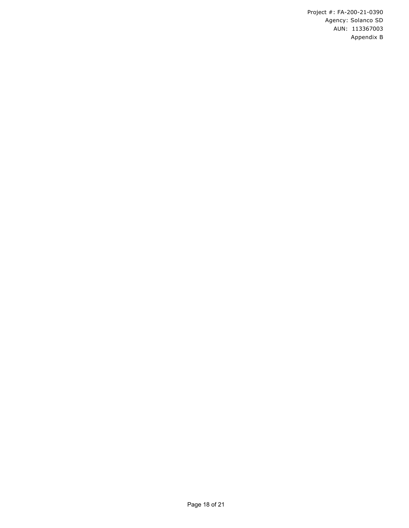Project #: FA-200-21-0390 Agency: Solanco SD AUN: 113367003 Appendix B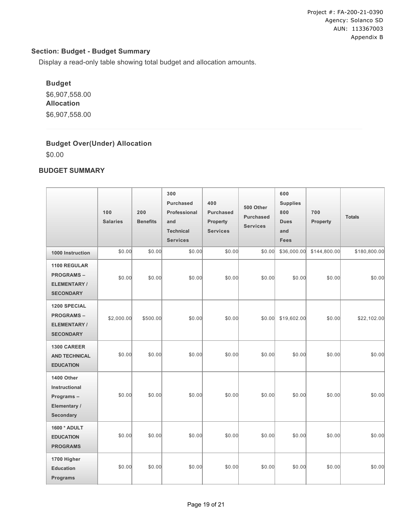## **Section: Budget - Budget Summary**

Display a read-only table showing total budget and allocation amounts.

#### **Budget**

\$6,907,558.00 **Allocation** \$6,907,558.00

# **Budget Over(Under) Allocation**

\$0.00

### **BUDGET SUMMARY**

|                                                                                   | 100<br><b>Salaries</b> | 200<br><b>Benefits</b> | 300<br><b>Purchased</b><br>Professional<br>and<br><b>Technical</b><br><b>Services</b> | 400<br><b>Purchased</b><br>Property<br><b>Services</b> | 500 Other<br><b>Purchased</b><br><b>Services</b> | 600<br><b>Supplies</b><br>800<br><b>Dues</b><br>and<br><b>Fees</b> | 700<br>Property | <b>Totals</b> |
|-----------------------------------------------------------------------------------|------------------------|------------------------|---------------------------------------------------------------------------------------|--------------------------------------------------------|--------------------------------------------------|--------------------------------------------------------------------|-----------------|---------------|
| 1000 Instruction                                                                  | \$0.00                 | \$0.00                 | \$0.00                                                                                | \$0.00                                                 | \$0.00                                           | \$36,000.00                                                        | \$144,800.00    | \$180,800.00  |
| <b>1100 REGULAR</b><br><b>PROGRAMS-</b><br><b>ELEMENTARY/</b><br><b>SECONDARY</b> | \$0.00                 | \$0.00                 | \$0.00                                                                                | \$0.00                                                 | \$0.00                                           | \$0.00                                                             | \$0.00          | \$0.00        |
| <b>1200 SPECIAL</b><br><b>PROGRAMS-</b><br><b>ELEMENTARY/</b><br><b>SECONDARY</b> | \$2,000.00             | \$500.00               | \$0.00                                                                                | \$0.00                                                 | \$0.00                                           | \$19,602.00                                                        | \$0.00          | \$22,102.00   |
| 1300 CAREER<br><b>AND TECHNICAL</b><br><b>EDUCATION</b>                           | \$0.00                 | \$0.00                 | \$0.00                                                                                | \$0.00                                                 | \$0.00                                           | \$0.00                                                             | \$0.00          | \$0.00        |
| 1400 Other<br>Instructional<br>Programs-<br>Elementary /<br><b>Secondary</b>      | \$0.00                 | \$0.00                 | \$0.00                                                                                | \$0.00                                                 | \$0.00                                           | \$0.00                                                             | \$0.00          | \$0.00        |
| 1600 * ADULT<br><b>EDUCATION</b><br><b>PROGRAMS</b>                               | \$0.00                 | \$0.00                 | \$0.00                                                                                | \$0.00                                                 | \$0.00                                           | \$0.00                                                             | \$0.00          | \$0.00        |
| 1700 Higher<br><b>Education</b><br>Programs                                       | \$0.00                 | \$0.00                 | \$0.00                                                                                | \$0.00                                                 | \$0.00                                           | \$0.00                                                             | \$0.00          | \$0.00        |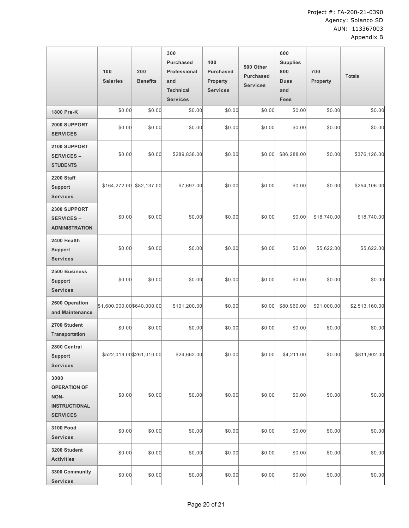|                                                                                | 100<br><b>Salaries</b>       | 200<br><b>Benefits</b>    | 300<br><b>Purchased</b><br>Professional<br>and<br><b>Technical</b><br><b>Services</b> | 400<br><b>Purchased</b><br>Property<br><b>Services</b> | 500 Other<br><b>Purchased</b><br><b>Services</b> | 600<br><b>Supplies</b><br>800<br><b>Dues</b><br>and<br><b>Fees</b> | 700<br>Property | <b>Totals</b>  |
|--------------------------------------------------------------------------------|------------------------------|---------------------------|---------------------------------------------------------------------------------------|--------------------------------------------------------|--------------------------------------------------|--------------------------------------------------------------------|-----------------|----------------|
| 1800 Pre-K                                                                     | \$0.00                       | \$0.00                    | \$0.00                                                                                | \$0.00                                                 | \$0.00                                           | \$0.00                                                             | \$0.00          | \$0.00         |
| 2000 SUPPORT<br><b>SERVICES</b>                                                | \$0.00                       | \$0.00                    | \$0.00                                                                                | \$0.00                                                 | \$0.00                                           | \$0.00                                                             | \$0.00          | \$0.00         |
| 2100 SUPPORT<br><b>SERVICES -</b><br><b>STUDENTS</b>                           | \$0.00                       | \$0.00                    | \$289,838.00                                                                          | \$0.00                                                 | \$0.00                                           | \$86,288.00                                                        | \$0.00          | \$376,126.00   |
| <b>2200 Staff</b><br><b>Support</b><br><b>Services</b>                         |                              | \$164,272.00 \$82,137.00  | \$7,697.00                                                                            | \$0.00                                                 | \$0.00                                           | \$0.00                                                             | \$0.00          | \$254,106.00   |
| 2300 SUPPORT<br><b>SERVICES -</b><br><b>ADMINISTRATION</b>                     | \$0.00                       | \$0.00                    | \$0.00                                                                                | \$0.00                                                 | \$0.00                                           | \$0.00                                                             | \$18,740.00     | \$18,740.00    |
| 2400 Health<br><b>Support</b><br><b>Services</b>                               | \$0.00                       | \$0.00                    | \$0.00                                                                                | \$0.00                                                 | \$0.00                                           | \$0.00                                                             | \$5,622.00      | \$5,622.00     |
| 2500 Business<br><b>Support</b><br><b>Services</b>                             | \$0.00                       | \$0.00                    | \$0.00                                                                                | \$0.00                                                 | \$0.00                                           | \$0.00                                                             | \$0.00          | \$0.00         |
| 2600 Operation<br>and Maintenance                                              | $$1,600,000.00$ \$640,000.00 |                           | \$101,200.00                                                                          | \$0.00                                                 | \$0.00                                           | \$80,960.00                                                        | \$91,000.00     | \$2,513,160.00 |
| 2700 Student<br>Transportation                                                 | \$0.00                       | \$0.00                    | \$0.00                                                                                | \$0.00                                                 | \$0.00                                           | \$0.00                                                             | \$0.00          | \$0.00         |
| 2800 Central<br><b>Support</b><br><b>Services</b>                              |                              | \$522,019.00 \$261,010.00 | \$24,662.00                                                                           | \$0.00                                                 | \$0.00                                           | \$4,211.00                                                         | \$0.00          | \$811,902.00   |
| 3000<br><b>OPERATION OF</b><br>NON-<br><b>INSTRUCTIONAL</b><br><b>SERVICES</b> | \$0.00                       | \$0.00                    | \$0.00                                                                                | \$0.00                                                 | \$0.00                                           | \$0.00                                                             | \$0.00          | \$0.00         |
| <b>3100 Food</b><br><b>Services</b>                                            | \$0.00                       | \$0.00                    | \$0.00                                                                                | \$0.00                                                 | \$0.00                                           | \$0.00                                                             | \$0.00          | \$0.00         |
| 3200 Student<br><b>Activities</b>                                              | \$0.00                       | \$0.00                    | \$0.00                                                                                | \$0.00                                                 | \$0.00                                           | \$0.00                                                             | \$0.00          | \$0.00         |
| 3300 Community<br><b>Services</b>                                              | \$0.00                       | \$0.00                    | \$0.00                                                                                | \$0.00                                                 | \$0.00                                           | \$0.00                                                             | \$0.00          | \$0.00         |